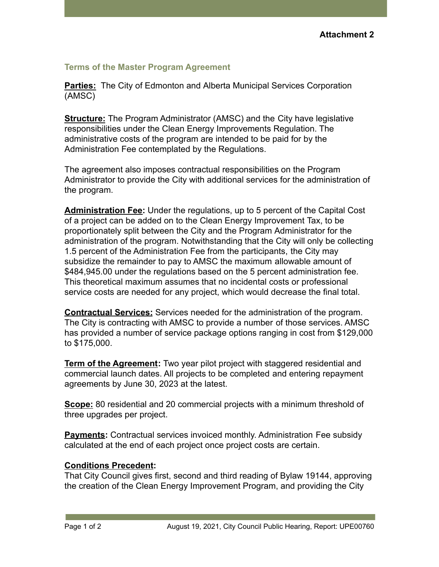## **Terms of the Master Program Agreement**

**Parties:** The City of Edmonton and Alberta Municipal Services Corporation (AMSC)

**Structure:** The Program Administrator (AMSC) and the City have legislative responsibilities under the Clean Energy Improvements Regulation. The administrative costs of the program are intended to be paid for by the Administration Fee contemplated by the Regulations.

The agreement also imposes contractual responsibilities on the Program Administrator to provide the City with additional services for the administration of the program.

**Administration Fee:** Under the regulations, up to 5 percent of the Capital Cost of a project can be added on to the Clean Energy Improvement Tax, to be proportionately split between the City and the Program Administrator for the administration of the program. Notwithstanding that the City will only be collecting 1.5 percent of the Administration Fee from the participants, the City may subsidize the remainder to pay to AMSC the maximum allowable amount of \$484,945.00 under the regulations based on the 5 percent administration fee. This theoretical maximum assumes that no incidental costs or professional service costs are needed for any project, which would decrease the final total.

**Contractual Services:** Services needed for the administration of the program. The City is contracting with AMSC to provide a number of those services. AMSC has provided a number of service package options ranging in cost from \$129,000 to \$175,000.

**Term of the Agreement:** Two year pilot project with staggered residential and commercial launch dates. All projects to be completed and entering repayment agreements by June 30, 2023 at the latest.

**Scope:** 80 residential and 20 commercial projects with a minimum threshold of three upgrades per project.

**Payments:** Contractual services invoiced monthly. Administration Fee subsidy calculated at the end of each project once project costs are certain.

## **Conditions Precedent:**

That City Council gives first, second and third reading of Bylaw 19144, approving the creation of the Clean Energy Improvement Program, and providing the City